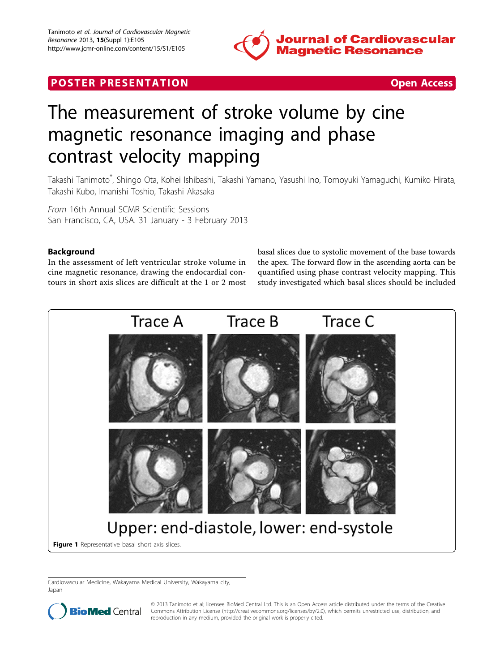

## **POSTER PRESENTATION CONSUMING THE SECOND CONSUMING THE SECOND CONSUMING THE SECOND CONSUMING THE SECOND CONSUMING THE SECOND CONSUMING THE SECOND CONSUMING THE SECOND CONSUMING THE SECOND CONSUMING THE SECOND CONSUMING**



# The measurement of stroke volume by cine magnetic resonance imaging and phase contrast velocity mapping

Takashi Tanimoto\* , Shingo Ota, Kohei Ishibashi, Takashi Yamano, Yasushi Ino, Tomoyuki Yamaguchi, Kumiko Hirata, Takashi Kubo, Imanishi Toshio, Takashi Akasaka

From 16th Annual SCMR Scientific Sessions San Francisco, CA, USA. 31 January - 3 February 2013

### Background

In the assessment of left ventricular stroke volume in cine magnetic resonance, drawing the endocardial contours in short axis slices are difficult at the 1 or 2 most basal slices due to systolic movement of the base towards the apex. The forward flow in the ascending aorta can be quantified using phase contrast velocity mapping. This study investigated which basal slices should be included



Cardiovascular Medicine, Wakayama Medical University, Wakayama city, Japan



© 2013 Tanimoto et al; licensee BioMed Central Ltd. This is an Open Access article distributed under the terms of the Creative BioMed Central Commons Attribution License [\(http://creativecommons.org/licenses/by/2.0](http://creativecommons.org/licenses/by/2.0)), which permits unrestricted use, distribution, and reproduction in any medium, provided the original work is properly cited.